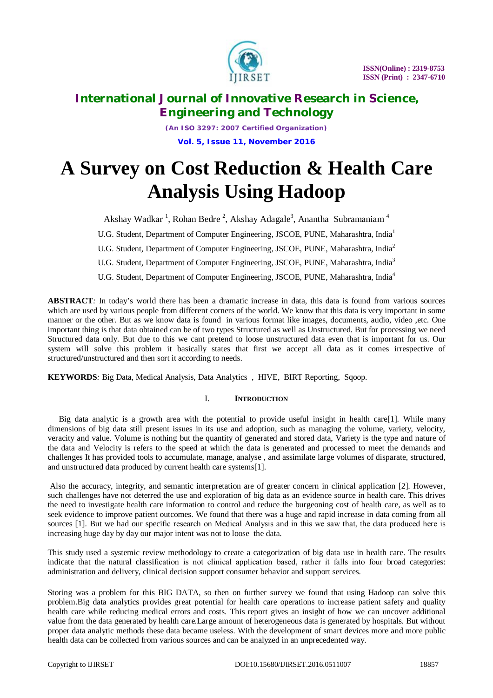

# **International Journal of Innovative Research in Science, Engineering and Technology**

*(An ISO 3297: 2007 Certified Organization)* **Vol. 5, Issue 11, November 2016**

# **A Survey on Cost Reduction & Health Care Analysis Using Hadoop**

Akshay Wadkar<sup>1</sup>, Rohan Bedre<sup>2</sup>, Akshay Adagale<sup>3</sup>, Anantha Subramaniam<sup>4</sup>

U.G. Student, Department of Computer Engineering, JSCOE, PUNE, Maharashtra, India<sup>1</sup>

U.G. Student, Department of Computer Engineering, JSCOE, PUNE, Maharashtra, India<sup>2</sup>

U.G. Student, Department of Computer Engineering, JSCOE, PUNE, Maharashtra, India<sup>3</sup>

U.G. Student, Department of Computer Engineering, JSCOE, PUNE, Maharashtra, India<sup>4</sup>

**ABSTRACT***:* In today's world there has been a dramatic increase in data, this data is found from various sources which are used by various people from different corners of the world. We know that this data is very important in some manner or the other. But as we know data is found in various format like images, documents, audio, video ,etc. One important thing is that data obtained can be of two types Structured as well as Unstructured. But for processing we need Structured data only. But due to this we cant pretend to loose unstructured data even that is important for us. Our system will solve this problem it basically states that first we accept all data as it comes irrespective of structured/unstructured and then sort it according to needs.

**KEYWORDS***:* Big Data, Medical Analysis, Data Analytics , HIVE, BIRT Reporting, Sqoop.

## I. **INTRODUCTION**

Big data analytic is a growth area with the potential to provide useful insight in health care[1]. While many dimensions of big data still present issues in its use and adoption, such as managing the volume, variety, velocity, veracity and value. Volume is nothing but the quantity of generated and stored data, Variety is the type and nature of the data and Velocity is refers to the speed at which the data is generated and processed to meet the demands and challenges It has provided tools to accumulate, manage, analyse , and assimilate large volumes of disparate, structured, and unstructured data produced by current health care systems[1].

Also the accuracy, integrity, and semantic interpretation are of greater concern in clinical application [2]. However, such challenges have not deterred the use and exploration of big data as an evidence source in health care. This drives the need to investigate health care information to control and reduce the burgeoning cost of health care, as well as to seek evidence to improve patient outcomes. We found that there was a huge and rapid increase in data coming from all sources [1]. But we had our specific research on Medical Analysis and in this we saw that, the data produced here is increasing huge day by day our major intent was not to loose the data.

This study used a systemic review methodology to create a categorization of big data use in health care. The results indicate that the natural classification is not clinical application based, rather it falls into four broad categories: administration and delivery, clinical decision support consumer behavior and support services.

Storing was a problem for this BIG DATA, so then on further survey we found that using Hadoop can solve this problem.Big data analytics provides great potential for health care operations to increase patient safety and quality health care while reducing medical errors and costs. This report gives an insight of how we can uncover additional value from the data generated by health care.Large amount of heterogeneous data is generated by hospitals. But without proper data analytic methods these data became useless. With the development of smart devices more and more public health data can be collected from various sources and can be analyzed in an unprecedented way.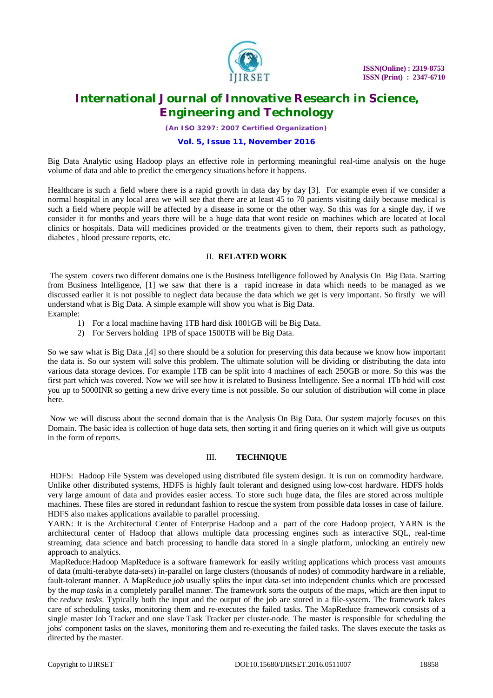

# **International Journal of Innovative Research in Science, Engineering and Technology**

*(An ISO 3297: 2007 Certified Organization)*

## **Vol. 5, Issue 11, November 2016**

Big Data Analytic using Hadoop plays an effective role in performing meaningful real-time analysis on the huge volume of data and able to predict the emergency situations before it happens.

Healthcare is such a field where there is a rapid growth in data day by day [3]. For example even if we consider a normal hospital in any local area we will see that there are at least 45 to 70 patients visiting daily because medical is such a field where people will be affected by a disease in some or the other way. So this was for a single day, if we consider it for months and years there will be a huge data that wont reside on machines which are located at local clinics or hospitals. Data will medicines provided or the treatments given to them, their reports such as pathology, diabetes , blood pressure reports, etc.

## II. **RELATED WORK**

The system covers two different domains one is the Business Intelligence followed by Analysis On Big Data. Starting from Business Intelligence, [1] we saw that there is a rapid increase in data which needs to be managed as we discussed earlier it is not possible to neglect data because the data which we get is very important. So firstly we will understand what is Big Data. A simple example will show you what is Big Data. Example:

- 1) For a local machine having 1TB hard disk 1001GB will be Big Data.
- 2) For Servers holding 1PB of space 1500TB will be Big Data.

So we saw what is Big Data ,[4] so there should be a solution for preserving this data because we know how important the data is. So our system will solve this problem. The ultimate solution will be dividing or distributing the data into various data storage devices. For example 1TB can be split into 4 machines of each 250GB or more. So this was the first part which was covered. Now we will see how it is related to Business Intelligence. See a normal 1Tb hdd will cost you up to 5000INR so getting a new drive every time is not possible. So our solution of distribution will come in place here.

Now we will discuss about the second domain that is the Analysis On Big Data. Our system majorly focuses on this Domain. The basic idea is collection of huge data sets, then sorting it and firing queries on it which will give us outputs in the form of reports.

#### III. **TECHNIQUE**

HDFS: Hadoop File System was developed using distributed file system design. It is run on commodity hardware. Unlike other distributed systems, HDFS is highly fault tolerant and designed using low-cost hardware. HDFS holds very large amount of data and provides easier access. To store such huge data, the files are stored across multiple machines. These files are stored in redundant fashion to rescue the system from possible data losses in case of failure. HDFS also makes applications available to parallel processing.

YARN: It is the Architectural Center of Enterprise Hadoop and a part of the core Hadoop project, YARN is the architectural center of Hadoop that allows multiple data processing engines such as interactive SQL, real-time streaming, data science and batch processing to handle data stored in a single platform, unlocking an entirely new approach to analytics.

MapReduce:Hadoop MapReduce is a software framework for easily writing applications which process vast amounts of data (multi-terabyte data-sets) in-parallel on large clusters (thousands of nodes) of commodity hardware in a reliable, fault-tolerant manner. A MapReduce *job* usually splits the input data-set into independent chunks which are processed by the *map tasks* in a completely parallel manner. The framework sorts the outputs of the maps, which are then input to the *reduce tasks*. Typically both the input and the output of the job are stored in a file-system. The framework takes care of scheduling tasks, monitoring them and re-executes the failed tasks. The MapReduce framework consists of a single master Job Tracker and one slave Task Tracker per cluster-node. The master is responsible for scheduling the jobs' component tasks on the slaves, monitoring them and re-executing the failed tasks. The slaves execute the tasks as directed by the master.